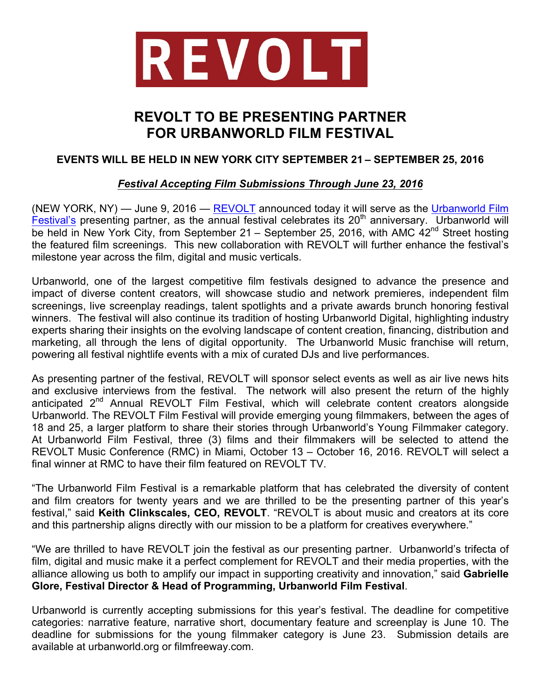

# **REVOLT TO BE PRESENTING PARTNER FOR URBANWORLD FILM FESTIVAL**

## **EVENTS WILL BE HELD IN NEW YORK CITY SEPTEMBER 21 – SEPTEMBER 25, 2016**

### *Festival Accepting Film Submissions Through June 23, 2016*

(NEW YORK, NY) — June 9, 2016 — REVOLT announced today it will serve as the Urbanworld Film Festival's presenting partner, as the annual festival celebrates its  $20<sup>th</sup>$  anniversary. Urbanworld will be held in New York City, from September 21 – September 25, 2016, with AMC  $42^{nd}$  Street hosting the featured film screenings. This new collaboration with REVOLT will further enhance the festival's milestone year across the film, digital and music verticals.

Urbanworld, one of the largest competitive film festivals designed to advance the presence and impact of diverse content creators, will showcase studio and network premieres, independent film screenings, live screenplay readings, talent spotlights and a private awards brunch honoring festival winners. The festival will also continue its tradition of hosting Urbanworld Digital, highlighting industry experts sharing their insights on the evolving landscape of content creation, financing, distribution and marketing, all through the lens of digital opportunity. The Urbanworld Music franchise will return, powering all festival nightlife events with a mix of curated DJs and live performances.

As presenting partner of the festival, REVOLT will sponsor select events as well as air live news hits and exclusive interviews from the festival. The network will also present the return of the highly anticipated 2<sup>nd</sup> Annual REVOLT Film Festival, which will celebrate content creators alongside Urbanworld. The REVOLT Film Festival will provide emerging young filmmakers, between the ages of 18 and 25, a larger platform to share their stories through Urbanworld's Young Filmmaker category. At Urbanworld Film Festival, three (3) films and their filmmakers will be selected to attend the REVOLT Music Conference (RMC) in Miami, October 13 – October 16, 2016. REVOLT will select a final winner at RMC to have their film featured on REVOLT TV.

"The Urbanworld Film Festival is a remarkable platform that has celebrated the diversity of content and film creators for twenty years and we are thrilled to be the presenting partner of this year's festival," said **Keith Clinkscales, CEO, REVOLT**. "REVOLT is about music and creators at its core and this partnership aligns directly with our mission to be a platform for creatives everywhere."

"We are thrilled to have REVOLT join the festival as our presenting partner. Urbanworld's trifecta of film, digital and music make it a perfect complement for REVOLT and their media properties, with the alliance allowing us both to amplify our impact in supporting creativity and innovation," said **Gabrielle Glore, Festival Director & Head of Programming, Urbanworld Film Festival**.

Urbanworld is currently accepting submissions for this year's festival. The deadline for competitive categories: narrative feature, narrative short, documentary feature and screenplay is June 10. The deadline for submissions for the young filmmaker category is June 23. Submission details are available at urbanworld.org or filmfreeway.com.